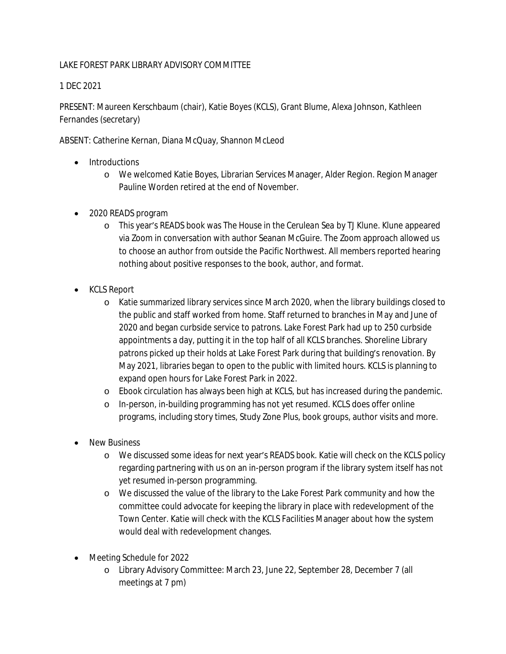## LAKE FOREST PARK LIBRARY ADVISORY COMMITTEE

1 DEC 2021

PRESENT: Maureen Kerschbaum (chair), Katie Boyes (KCLS), Grant Blume, Alexa Johnson, Kathleen Fernandes (secretary)

ABSENT: Catherine Kernan, Diana McQuay, Shannon McLeod

- Introductions
	- o We welcomed Katie Boyes, Librarian Services Manager, Alder Region. Region Manager Pauline Worden retired at the end of November.
- 2020 READS program
	- o This year's READS book was *The House in the Cerulean Sea* by TJ Klune. Klune appeared via Zoom in conversation with author Seanan McGuire. The Zoom approach allowed us to choose an author from outside the Pacific Northwest. All members reported hearing nothing about positive responses to the book, author, and format.
- KCLS Report
	- o Katie summarized library services since March 2020, when the library buildings closed to the public and staff worked from home. Staff returned to branches in May and June of 2020 and began curbside service to patrons. Lake Forest Park had up to 250 curbside appointments a day, putting it in the top half of all KCLS branches. Shoreline Library patrons picked up their holds at Lake Forest Park during that building's renovation. By May 2021, libraries began to open to the public with limited hours. KCLS is planning to expand open hours for Lake Forest Park in 2022.
	- o Ebook circulation has always been high at KCLS, but has increased during the pandemic.
	- o In-person, in-building programming has not yet resumed. KCLS does offer online programs, including story times, Study Zone Plus, book groups, author visits and more.
- New Business
	- o We discussed some ideas for next year's READS book. Katie will check on the KCLS policy regarding partnering with us on an in-person program if the library system itself has not yet resumed in-person programming.
	- o We discussed the value of the library to the Lake Forest Park community and how the committee could advocate for keeping the library in place with redevelopment of the Town Center. Katie will check with the KCLS Facilities Manager about how the system would deal with redevelopment changes.
- Meeting Schedule for 2022
	- o Library Advisory Committee: March 23, June 22, September 28, December 7 (all meetings at 7 pm)